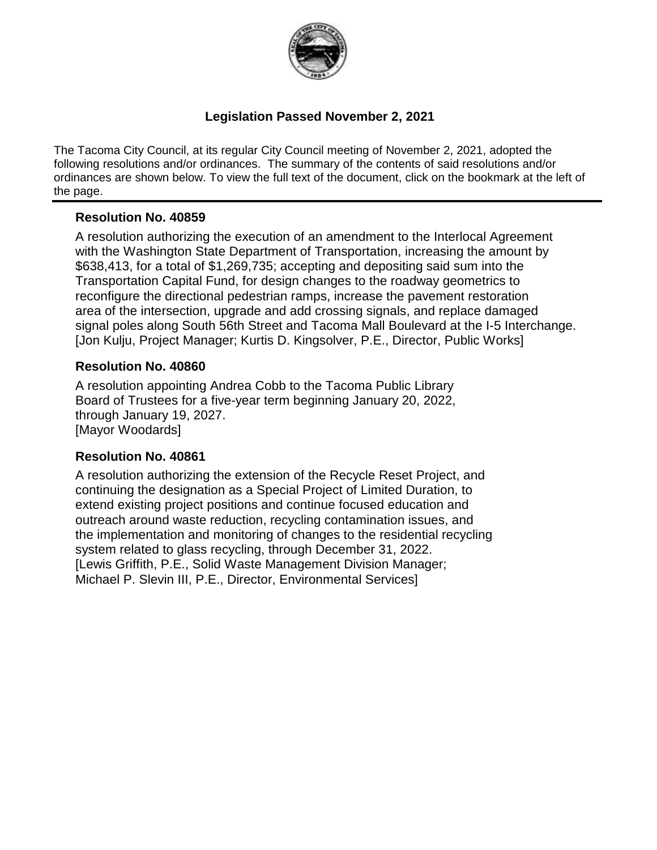

### **Legislation Passed November 2, 2021**

The Tacoma City Council, at its regular City Council meeting of November 2, 2021, adopted the following resolutions and/or ordinances. The summary of the contents of said resolutions and/or ordinances are shown below. To view the full text of the document, click on the bookmark at the left of the page.

### **Resolution No. 40859**

A resolution authorizing the execution of an amendment to the Interlocal Agreement with the Washington State Department of Transportation, increasing the amount by \$638,413, for a total of \$1,269,735; accepting and depositing said sum into the Transportation Capital Fund, for design changes to the roadway geometrics to reconfigure the directional pedestrian ramps, increase the pavement restoration area of the intersection, upgrade and add crossing signals, and replace damaged signal poles along South 56th Street and Tacoma Mall Boulevard at the I-5 Interchange. [Jon Kulju, Project Manager; Kurtis D. Kingsolver, P.E., Director, Public Works]

### **Resolution No. 40860**

A resolution appointing Andrea Cobb to the Tacoma Public Library Board of Trustees for a five-year term beginning January 20, 2022, through January 19, 2027. [Mayor Woodards]

#### **Resolution No. 40861**

A resolution authorizing the extension of the Recycle Reset Project, and continuing the designation as a Special Project of Limited Duration, to extend existing project positions and continue focused education and outreach around waste reduction, recycling contamination issues, and the implementation and monitoring of changes to the residential recycling system related to glass recycling, through December 31, 2022. [Lewis Griffith, P.E., Solid Waste Management Division Manager; Michael P. Slevin III, P.E., Director, Environmental Services]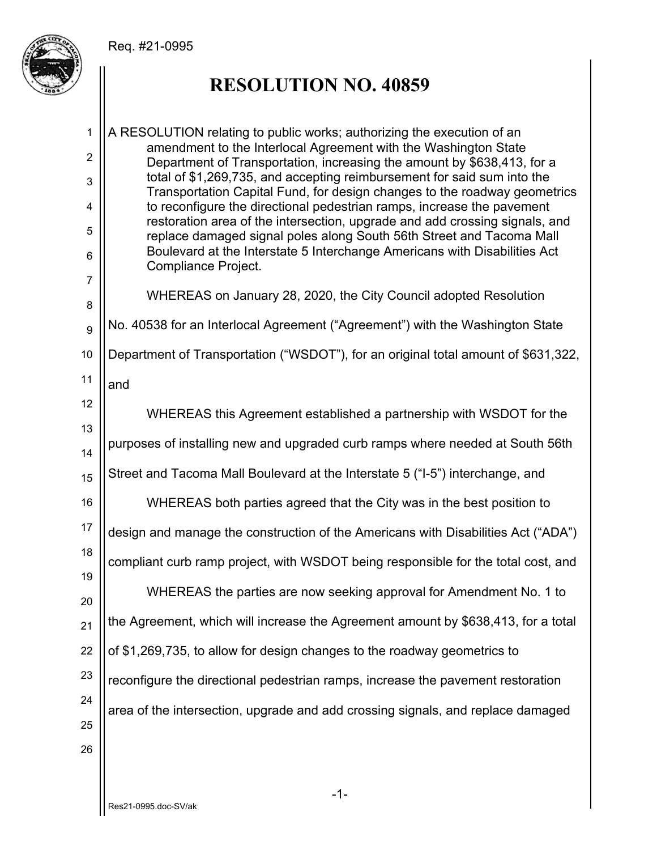Req. #21-0995



## **RESOLUTION NO. 40859**

1 2 3 4 5 6 7 8 A RESOLUTION relating to public works; authorizing the execution of an amendment to the Interlocal Agreement with the Washington State Department of Transportation, increasing the amount by \$638,413, for a total of \$1,269,735, and accepting reimbursement for said sum into the Transportation Capital Fund, for design changes to the roadway geometrics to reconfigure the directional pedestrian ramps, increase the pavement restoration area of the intersection, upgrade and add crossing signals, and replace damaged signal poles along South 56th Street and Tacoma Mall Boulevard at the Interstate 5 Interchange Americans with Disabilities Act Compliance Project. WHEREAS on January 28, 2020, the City Council adopted Resolution

9 No. 40538 for an Interlocal Agreement ("Agreement") with the Washington State

10 Department of Transportation ("WSDOT"), for an original total amount of \$631,322,

11

and

12 13 14 15 16 17 18 19 20 21 22 23 24 25 26 WHEREAS this Agreement established a partnership with WSDOT for the purposes of installing new and upgraded curb ramps where needed at South 56th Street and Tacoma Mall Boulevard at the Interstate 5 ("I-5") interchange, and WHEREAS both parties agreed that the City was in the best position to design and manage the construction of the Americans with Disabilities Act ("ADA") compliant curb ramp project, with WSDOT being responsible for the total cost, and WHEREAS the parties are now seeking approval for Amendment No. 1 to the Agreement, which will increase the Agreement amount by \$638,413, for a total of \$1,269,735, to allow for design changes to the roadway geometrics to reconfigure the directional pedestrian ramps, increase the pavement restoration area of the intersection, upgrade and add crossing signals, and replace damaged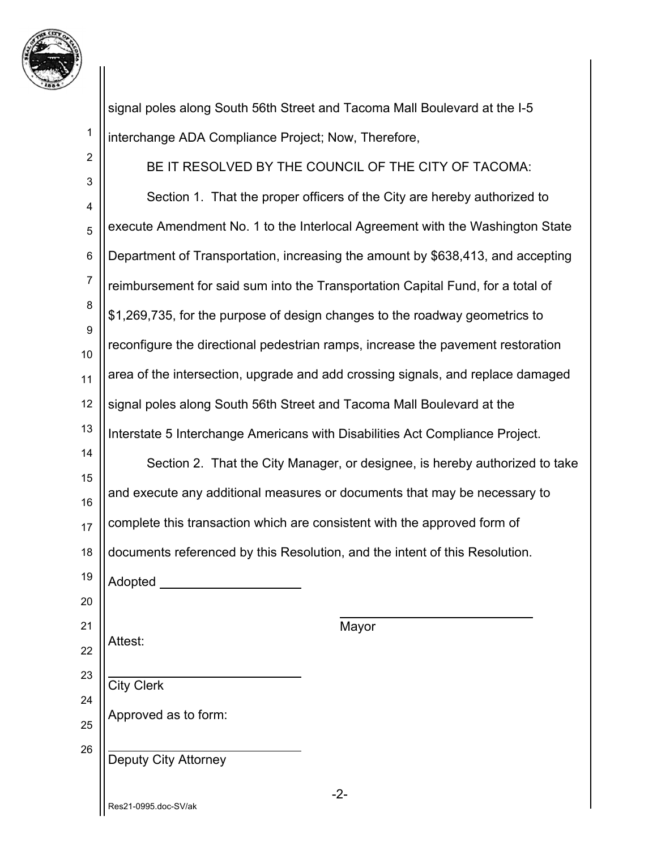

1

2

signal poles along South 56th Street and Tacoma Mall Boulevard at the I-5 interchange ADA Compliance Project; Now, Therefore,

3 4 5 6 7 8 9 10 11 12 13 14 15 16 17 18 19 20 21 22 23 24 25 26 BE IT RESOLVED BY THE COUNCIL OF THE CITY OF TACOMA: Section 1. That the proper officers of the City are hereby authorized to execute Amendment No. 1 to the Interlocal Agreement with the Washington State Department of Transportation, increasing the amount by \$638,413, and accepting reimbursement for said sum into the Transportation Capital Fund, for a total of \$1,269,735, for the purpose of design changes to the roadway geometrics to reconfigure the directional pedestrian ramps, increase the pavement restoration area of the intersection, upgrade and add crossing signals, and replace damaged signal poles along South 56th Street and Tacoma Mall Boulevard at the Interstate 5 Interchange Americans with Disabilities Act Compliance Project. Section 2. That the City Manager, or designee, is hereby authorized to take and execute any additional measures or documents that may be necessary to complete this transaction which are consistent with the approved form of documents referenced by this Resolution, and the intent of this Resolution. Adopted Mayor Attest:  $\overline{a}$ City Clerk Approved as to form:  $\overline{a}$ Deputy City Attorney

Res21-0995.doc-SV/ak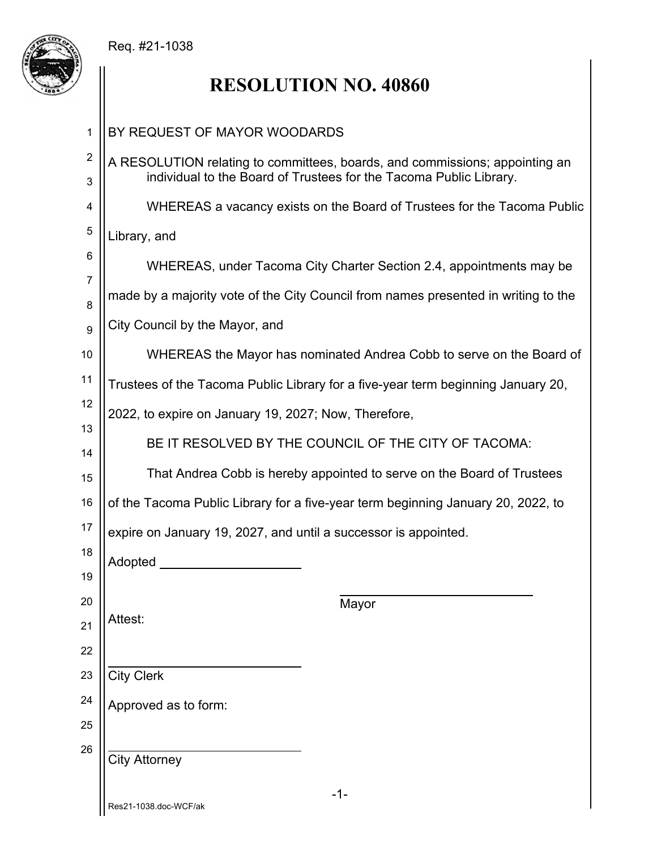### Req. #21-1038



# **RESOLUTION NO. 40860**

| 1                            | BY REQUEST OF MAYOR WOODARDS                                                                                                                      |
|------------------------------|---------------------------------------------------------------------------------------------------------------------------------------------------|
| $\overline{\mathbf{c}}$<br>3 | A RESOLUTION relating to committees, boards, and commissions; appointing an<br>individual to the Board of Trustees for the Tacoma Public Library. |
| 4                            | WHEREAS a vacancy exists on the Board of Trustees for the Tacoma Public                                                                           |
| 5                            | Library, and                                                                                                                                      |
| 6                            | WHEREAS, under Tacoma City Charter Section 2.4, appointments may be                                                                               |
| $\overline{7}$<br>8          | made by a majority vote of the City Council from names presented in writing to the                                                                |
| 9                            | City Council by the Mayor, and                                                                                                                    |
| 10                           | WHEREAS the Mayor has nominated Andrea Cobb to serve on the Board of                                                                              |
| 11                           | Trustees of the Tacoma Public Library for a five-year term beginning January 20,                                                                  |
| 12                           | 2022, to expire on January 19, 2027; Now, Therefore,                                                                                              |
| 13<br>14                     | BE IT RESOLVED BY THE COUNCIL OF THE CITY OF TACOMA:                                                                                              |
| 15                           | That Andrea Cobb is hereby appointed to serve on the Board of Trustees                                                                            |
| 16                           | of the Tacoma Public Library for a five-year term beginning January 20, 2022, to                                                                  |
| 17                           | expire on January 19, 2027, and until a successor is appointed.                                                                                   |
| 18                           | Adopted                                                                                                                                           |
| 19<br>20                     |                                                                                                                                                   |
| 21                           | Mayor<br>Attest:                                                                                                                                  |
| 22                           |                                                                                                                                                   |
| 23                           | <b>City Clerk</b>                                                                                                                                 |
| 24                           | Approved as to form:                                                                                                                              |
| 25                           |                                                                                                                                                   |
| 26                           | <b>City Attorney</b>                                                                                                                              |
|                              | $-1-$<br>Res21-1038.doc-WCF/ak                                                                                                                    |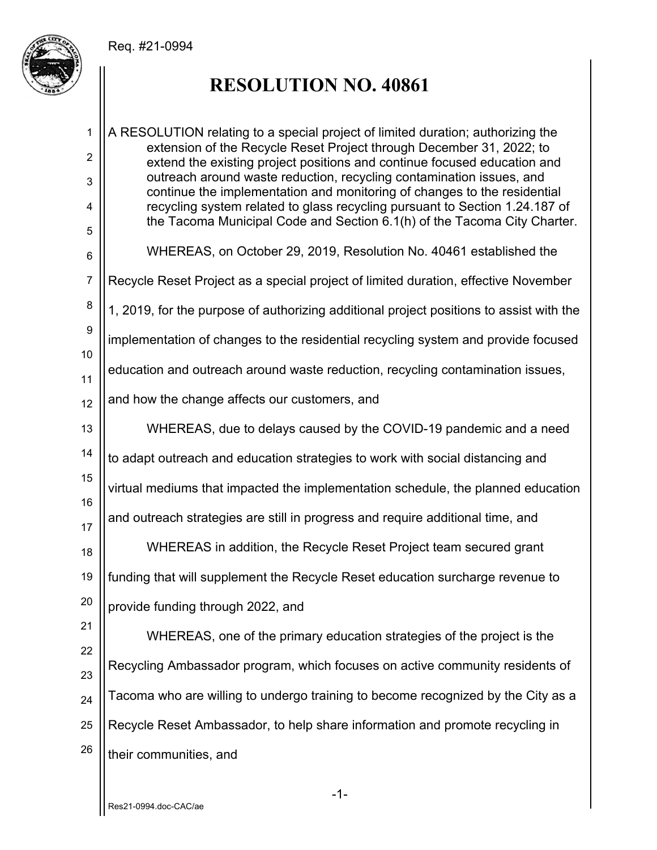#### Req. #21-0994



### **RESOLUTION NO. 40861**

1 2 3 4 5 6 7 8 9 10 11 12 13 14 15 16 17 18 19 20 21 22 23 24 25 26 A RESOLUTION relating to a special project of limited duration; authorizing the extension of the Recycle Reset Project through December 31, 2022; to extend the existing project positions and continue focused education and outreach around waste reduction, recycling contamination issues, and continue the implementation and monitoring of changes to the residential recycling system related to glass recycling pursuant to Section 1.24.187 of the Tacoma Municipal Code and Section 6.1(h) of the Tacoma City Charter. WHEREAS, on October 29, 2019, Resolution No. 40461 established the Recycle Reset Project as a special project of limited duration, effective November 1, 2019, for the purpose of authorizing additional project positions to assist with the implementation of changes to the residential recycling system and provide focused education and outreach around waste reduction, recycling contamination issues, and how the change affects our customers, and WHEREAS, due to delays caused by the COVID-19 pandemic and a need to adapt outreach and education strategies to work with social distancing and virtual mediums that impacted the implementation schedule, the planned education and outreach strategies are still in progress and require additional time, and WHEREAS in addition, the Recycle Reset Project team secured grant funding that will supplement the Recycle Reset education surcharge revenue to provide funding through 2022, and WHEREAS, one of the primary education strategies of the project is the Recycling Ambassador program, which focuses on active community residents of Tacoma who are willing to undergo training to become recognized by the City as a Recycle Reset Ambassador, to help share information and promote recycling in their communities, and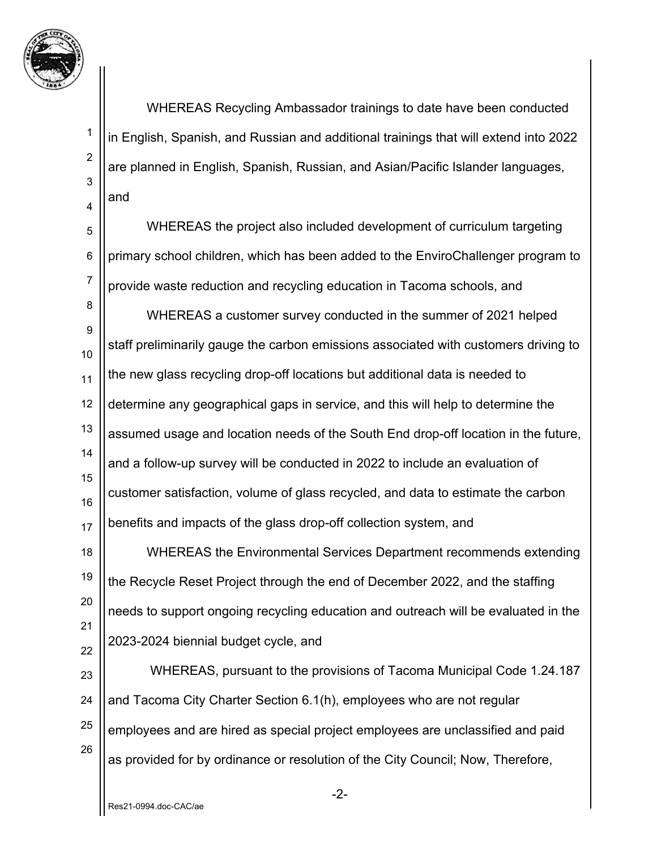

1

2

3

4

5

6

7

 WHEREAS Recycling Ambassador trainings to date have been conducted in English, Spanish, and Russian and additional trainings that will extend into 2022 are planned in English, Spanish, Russian, and Asian/Pacific Islander languages, and

 WHEREAS the project also included development of curriculum targeting primary school children, which has been added to the EnviroChallenger program to provide waste reduction and recycling education in Tacoma schools, and

8 9 10 11 12 13 14 15 16 17 WHEREAS a customer survey conducted in the summer of 2021 helped staff preliminarily gauge the carbon emissions associated with customers driving to the new glass recycling drop-off locations but additional data is needed to determine any geographical gaps in service, and this will help to determine the assumed usage and location needs of the South End drop-off location in the future, and a follow-up survey will be conducted in 2022 to include an evaluation of customer satisfaction, volume of glass recycled, and data to estimate the carbon benefits and impacts of the glass drop-off collection system, and

18 19 20 21 22 WHEREAS the Environmental Services Department recommends extending the Recycle Reset Project through the end of December 2022, and the staffing needs to support ongoing recycling education and outreach will be evaluated in the 2023-2024 biennial budget cycle, and

23 24 25 26 WHEREAS, pursuant to the provisions of Tacoma Municipal Code 1.24.187 and Tacoma City Charter Section 6.1(h), employees who are not regular employees and are hired as special project employees are unclassified and paid as provided for by ordinance or resolution of the City Council; Now, Therefore,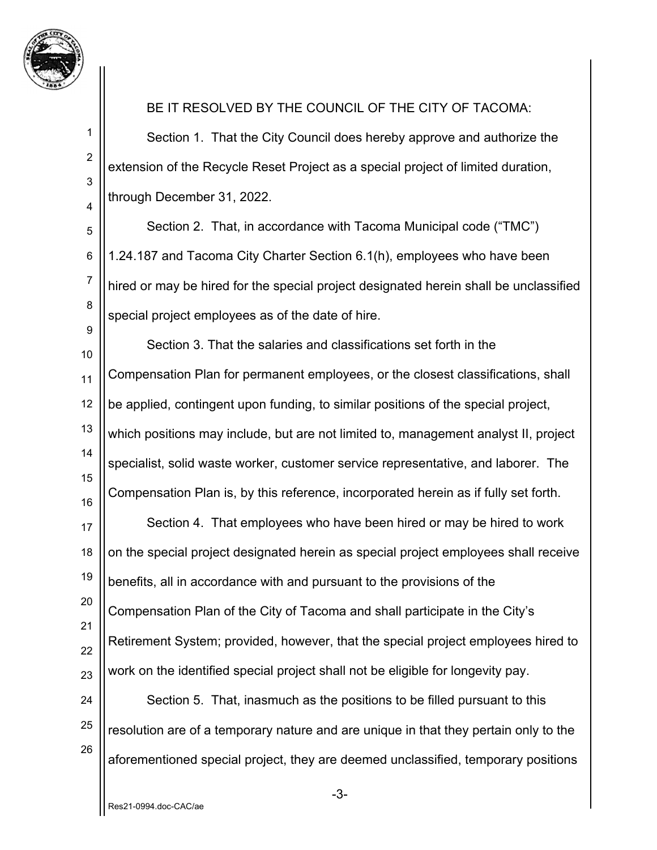

1

2

3

4

BE IT RESOLVED BY THE COUNCIL OF THE CITY OF TACOMA:

Section 1. That the City Council does hereby approve and authorize the extension of the Recycle Reset Project as a special project of limited duration, through December 31, 2022.

5 6 7 8 9 Section 2. That, in accordance with Tacoma Municipal code ("TMC") 1.24.187 and Tacoma City Charter Section 6.1(h), employees who have been hired or may be hired for the special project designated herein shall be unclassified special project employees as of the date of hire.

10 11 12 13 14 15 16 Section 3. That the salaries and classifications set forth in the Compensation Plan for permanent employees, or the closest classifications, shall be applied, contingent upon funding, to similar positions of the special project, which positions may include, but are not limited to, management analyst II, project specialist, solid waste worker, customer service representative, and laborer. The Compensation Plan is, by this reference, incorporated herein as if fully set forth.

17 18 19 20 21 22 23 Section 4. That employees who have been hired or may be hired to work on the special project designated herein as special project employees shall receive benefits, all in accordance with and pursuant to the provisions of the Compensation Plan of the City of Tacoma and shall participate in the City's Retirement System; provided, however, that the special project employees hired to work on the identified special project shall not be eligible for longevity pay.

24 25 26 Section 5. That, inasmuch as the positions to be filled pursuant to this resolution are of a temporary nature and are unique in that they pertain only to the aforementioned special project, they are deemed unclassified, temporary positions